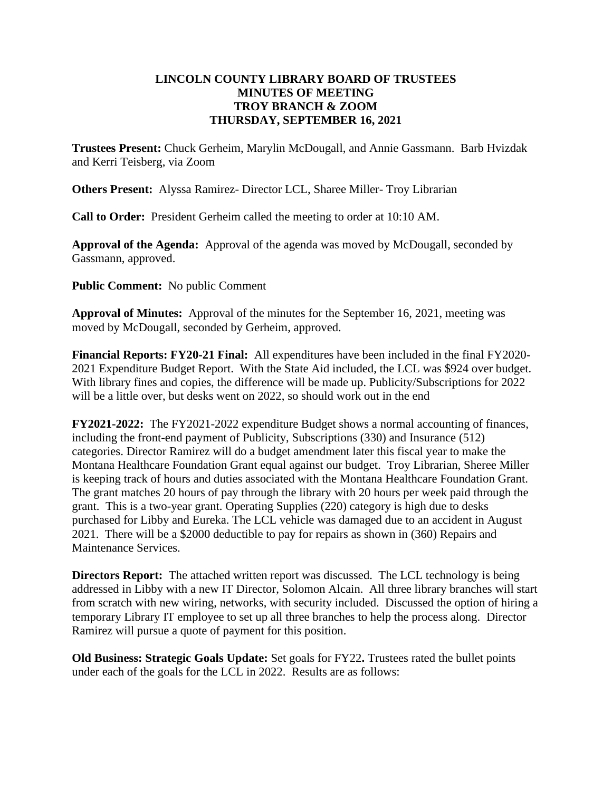## **LINCOLN COUNTY LIBRARY BOARD OF TRUSTEES MINUTES OF MEETING TROY BRANCH & ZOOM THURSDAY, SEPTEMBER 16, 2021**

**Trustees Present:** Chuck Gerheim, Marylin McDougall, and Annie Gassmann. Barb Hvizdak and Kerri Teisberg, via Zoom

**Others Present:** Alyssa Ramirez- Director LCL, Sharee Miller- Troy Librarian

**Call to Order:** President Gerheim called the meeting to order at 10:10 AM.

**Approval of the Agenda:** Approval of the agenda was moved by McDougall, seconded by Gassmann, approved.

**Public Comment:** No public Comment

**Approval of Minutes:** Approval of the minutes for the September 16, 2021, meeting was moved by McDougall, seconded by Gerheim, approved.

**Financial Reports: FY20-21 Final:** All expenditures have been included in the final FY2020- 2021 Expenditure Budget Report. With the State Aid included, the LCL was \$924 over budget. With library fines and copies, the difference will be made up. Publicity/Subscriptions for 2022 will be a little over, but desks went on 2022, so should work out in the end

**FY2021-2022:** The FY2021-2022 expenditure Budget shows a normal accounting of finances, including the front-end payment of Publicity, Subscriptions (330) and Insurance (512) categories. Director Ramirez will do a budget amendment later this fiscal year to make the Montana Healthcare Foundation Grant equal against our budget. Troy Librarian, Sheree Miller is keeping track of hours and duties associated with the Montana Healthcare Foundation Grant. The grant matches 20 hours of pay through the library with 20 hours per week paid through the grant. This is a two-year grant. Operating Supplies (220) category is high due to desks purchased for Libby and Eureka. The LCL vehicle was damaged due to an accident in August 2021. There will be a \$2000 deductible to pay for repairs as shown in (360) Repairs and Maintenance Services.

**Directors Report:** The attached written report was discussed. The LCL technology is being addressed in Libby with a new IT Director, Solomon Alcain. All three library branches will start from scratch with new wiring, networks, with security included. Discussed the option of hiring a temporary Library IT employee to set up all three branches to help the process along. Director Ramirez will pursue a quote of payment for this position.

**Old Business: Strategic Goals Update:** Set goals for FY22**.** Trustees rated the bullet points under each of the goals for the LCL in 2022. Results are as follows: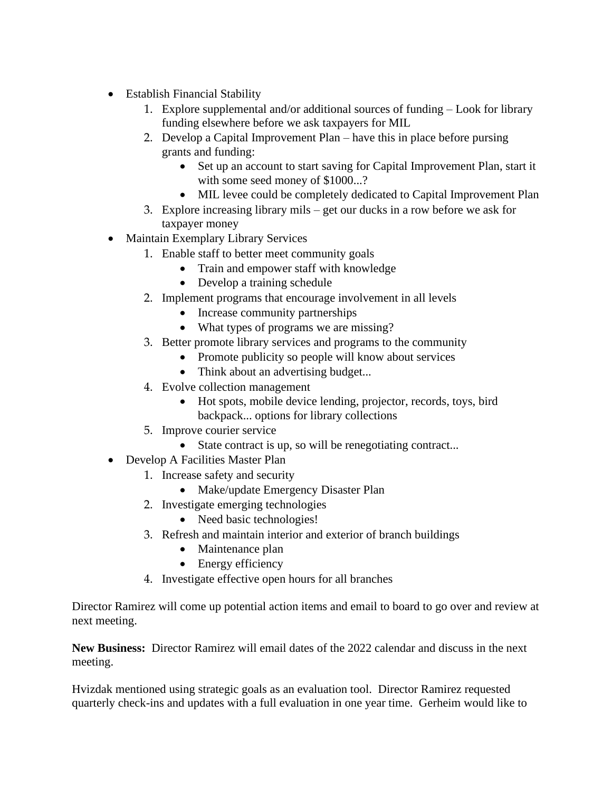- Establish Financial Stability
	- 1. Explore supplemental and/or additional sources of funding Look for library funding elsewhere before we ask taxpayers for MIL
	- 2. Develop a Capital Improvement Plan have this in place before pursing grants and funding:
		- Set up an account to start saving for Capital Improvement Plan, start it with some seed money of \$1000...?
		- MIL levee could be completely dedicated to Capital Improvement Plan
	- 3. Explore increasing library mils get our ducks in a row before we ask for taxpayer money
- Maintain Exemplary Library Services
	- 1. Enable staff to better meet community goals
		- Train and empower staff with knowledge
		- Develop a training schedule
	- 2. Implement programs that encourage involvement in all levels
		- Increase community partnerships
		- What types of programs we are missing?
	- 3. Better promote library services and programs to the community
		- Promote publicity so people will know about services
		- Think about an advertising budget...
	- 4. Evolve collection management
		- Hot spots, mobile device lending, projector, records, toys, bird backpack... options for library collections
	- 5. Improve courier service
		- State contract is up, so will be renegotiating contract...
- Develop A Facilities Master Plan
	- 1. Increase safety and security
		- Make/update Emergency Disaster Plan
	- 2. Investigate emerging technologies
		- Need basic technologies!
	- 3. Refresh and maintain interior and exterior of branch buildings
		- Maintenance plan
		- Energy efficiency
	- 4. Investigate effective open hours for all branches

Director Ramirez will come up potential action items and email to board to go over and review at next meeting.

**New Business:** Director Ramirez will email dates of the 2022 calendar and discuss in the next meeting.

Hvizdak mentioned using strategic goals as an evaluation tool. Director Ramirez requested quarterly check-ins and updates with a full evaluation in one year time. Gerheim would like to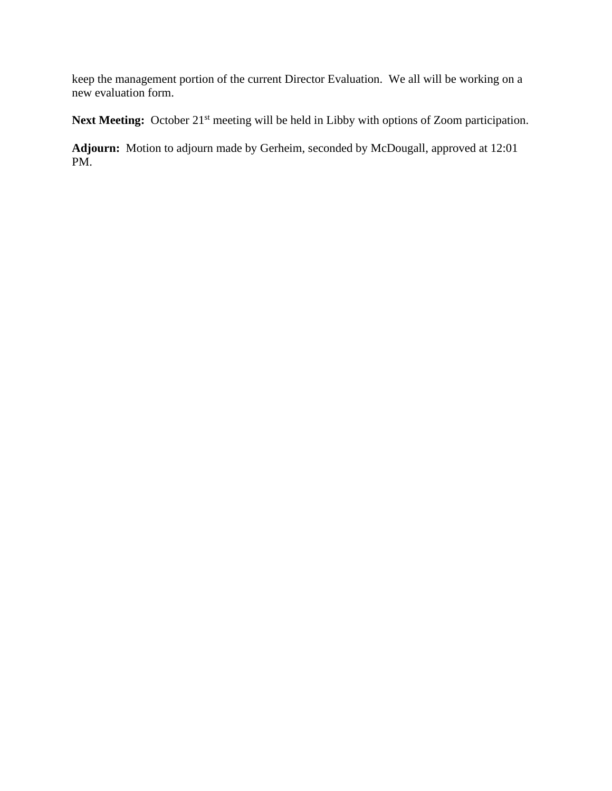keep the management portion of the current Director Evaluation. We all will be working on a new evaluation form.

Next Meeting: October 21<sup>st</sup> meeting will be held in Libby with options of Zoom participation.

**Adjourn:** Motion to adjourn made by Gerheim, seconded by McDougall, approved at 12:01 PM.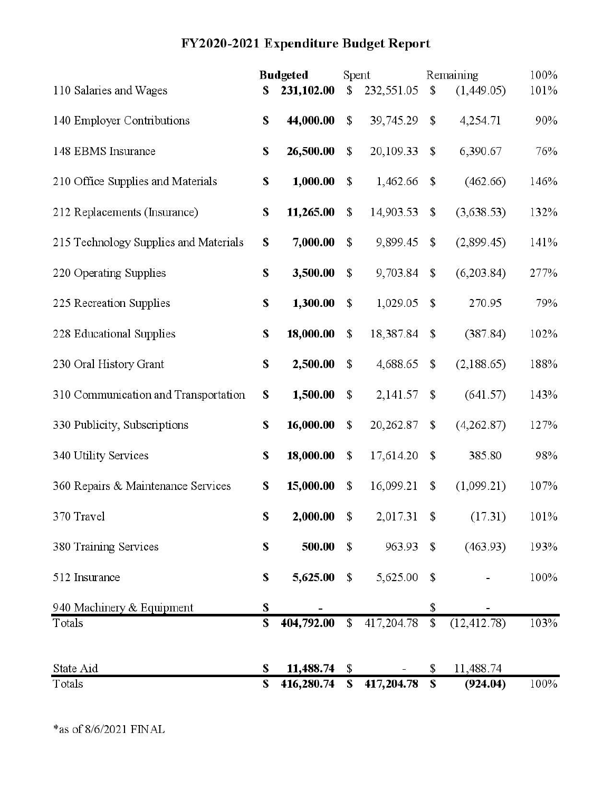# FY2020-2021 Expenditure Budget Report

|                                       | <b>Budgeted</b> |            | Spent         |            | Remaining                 |              | 100% |
|---------------------------------------|-----------------|------------|---------------|------------|---------------------------|--------------|------|
| 110 Salaries and Wages                | \$              | 231,102.00 | \$            | 232,551.05 | \$                        | (1,449.05)   | 101% |
| 140 Employer Contributions            | \$              | 44,000.00  | \$            | 39,745.29  | \$                        | 4,254.71     | 90%  |
| 148 EBMS Insurance                    | \$              | 26,500.00  | \$            | 20,109.33  | \$                        | 6,390.67     | 76%  |
| 210 Office Supplies and Materials     | S               | 1,000.00   | \$            | 1,462.66   | \$                        | (462.66)     | 146% |
| 212 Replacements (Insurance)          | S               | 11,265.00  | \$            | 14,903.53  | \$                        | (3,638.53)   | 132% |
| 215 Technology Supplies and Materials | $\mathbf{s}$    | 7,000.00   | \$            | 9,899.45   | \$                        | (2,899.45)   | 141% |
| 220 Operating Supplies                | \$              | 3,500.00   | \$            | 9,703.84   | \$                        | (6,203.84)   | 277% |
| 225 Recreation Supplies               | \$              | 1,300.00   | \$            | 1,029.05   | \$                        | 270.95       | 79%  |
| 228 Educational Supplies              | \$              | 18,000.00  | \$            | 18,387.84  | \$                        | (387.84)     | 102% |
| 230 Oral History Grant                | \$              | 2,500.00   | \$            | 4,688.65   | \$                        | (2,188.65)   | 188% |
| 310 Communication and Transportation  | \$              | 1,500.00   | \$            | 2,141.57   | $\mathbb{S}$              | (641.57)     | 143% |
| 330 Publicity, Subscriptions          | \$              | 16,000.00  | $\mathsf{\$}$ | 20,262.87  | \$                        | (4,262.87)   | 127% |
| 340 Utility Services                  | \$              | 18,000.00  | \$            | 17,614.20  | $\mathbb{S}$              | 385.80       | 98%  |
| 360 Repairs & Maintenance Services    | S               | 15,000.00  | \$            | 16,099.21  | \$                        | (1,099.21)   | 107% |
| 370 Travel                            | \$              | 2,000.00   | $\mathbb{S}$  | 2,017.31   | $\boldsymbol{\mathsf{S}}$ | (17.31)      | 101% |
| 380 Training Services                 | \$              | 500.00     | \$            | 963.93     | \$                        | (463.93)     | 193% |
| 512 Insurance                         | \$              | 5,625.00   | \$            | 5,625.00   | \$                        |              | 100% |
| 940 Machinery & Equipment             | S               |            |               |            | \$                        |              |      |
| Totals                                | S               | 404,792.00 | $\mathsf{\$}$ | 417,204.78 | $\mathbb{S}$              | (12, 412.78) | 103% |
| State Aid                             | \$              | 11,488.74  | \$            |            | \$                        | 11,488.74    |      |
| Totals                                | S               | 416,280.74 | \$            | 417,204.78 | \$                        | (924.04)     | 100% |

 $*$  as of  $8/6/2021$  FINAL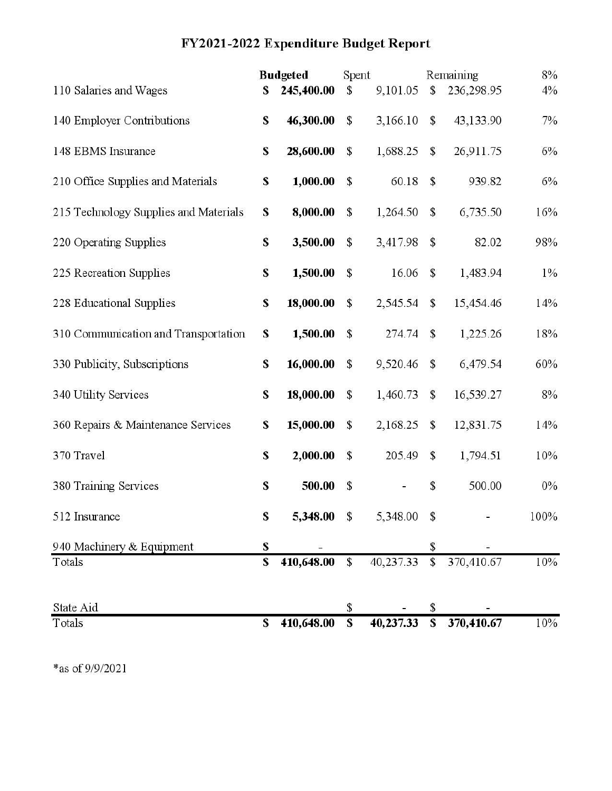# FY2021-2022 Expenditure Budget Report

|                                       | <b>Budgeted</b> |             | Spent         |             | Remaining     |            | 8%    |
|---------------------------------------|-----------------|-------------|---------------|-------------|---------------|------------|-------|
| 110 Salaries and Wages                | S               | 245,400.00  | \$            | 9,101.05    | \$            | 236,298.95 | $4\%$ |
| 140 Employer Contributions            | \$              | 46,300.00   | \$            | 3,166.10    | $\mathbb{S}$  | 43,133.90  | 7%    |
| 148 EBMS Insurance                    | \$              | 28,600.00   | \$            | 1,688.25    | \$            | 26,911.75  | $6\%$ |
| 210 Office Supplies and Materials     | S               | 1,000.00    | $\mathsf{\$}$ | 60.18       | \$            | 939.82     | 6%    |
| 215 Technology Supplies and Materials | S               | 8,000.00    | \$            | 1,264.50    | \$            | 6,735.50   | 16%   |
| 220 Operating Supplies                | \$              | 3,500.00    | \$            | 3,417.98    | \$            | 82.02      | 98%   |
| 225 Recreation Supplies               | \$              | 1,500.00    | \$            | 16.06       | $\mathbb{S}$  | 1,483.94   | $1\%$ |
| 228 Educational Supplies              | \$              | 18,000.00   | $\mathbb{S}$  | 2,545.54    | $\mathsf S$   | 15,454.46  | 14%   |
| 310 Communication and Transportation  | \$              | 1,500.00    | $\mathsf{\$}$ | 274.74      | $\mathsf{\$}$ | 1,225.26   | 18%   |
| 330 Publicity, Subscriptions          | \$              | 16,000.00   | $\mathsf{\$}$ | 9,520.46    | \$            | 6,479.54   | 60%   |
| 340 Utility Services                  | \$              | 18,000.00   | $\mathbb{S}$  | 1,460.73    | $\mathbb{S}$  | 16,539.27  | 8%    |
| 360 Repairs & Maintenance Services    | \$              | 15,000.00   | $\mathsf{\$}$ | 2,168.25    | \$            | 12,831.75  | 14%   |
| 370 Travel                            | \$              | 2,000.00    | $\mathsf{\$}$ | 205.49      | $\mathbb{S}$  | 1,794.51   | 10%   |
| 380 Training Services                 | $\mathbf s$     | 500.00      | $\mathsf{\$}$ |             | \$            | 500.00     | 0%    |
| 512 Insurance                         | ${\bf S}$       | 5,348.00 \$ |               | 5,348.00 \$ |               |            | 100%  |
| 940 Machinery & Equipment             | \$              |             |               |             | \$            |            |       |
| Totals                                | \$              | 410,648.00  | $\mathbb{S}$  | 40,237.33   | \$            | 370,410.67 | 10%   |
| State Aid                             |                 |             | \$            |             | \$            |            |       |
| Totals                                | \$              | 410,648.00  | S             | 40,237.33   | \$            | 370,410.67 | 10%   |

 $\mbox{*}$  as of 9/9/2021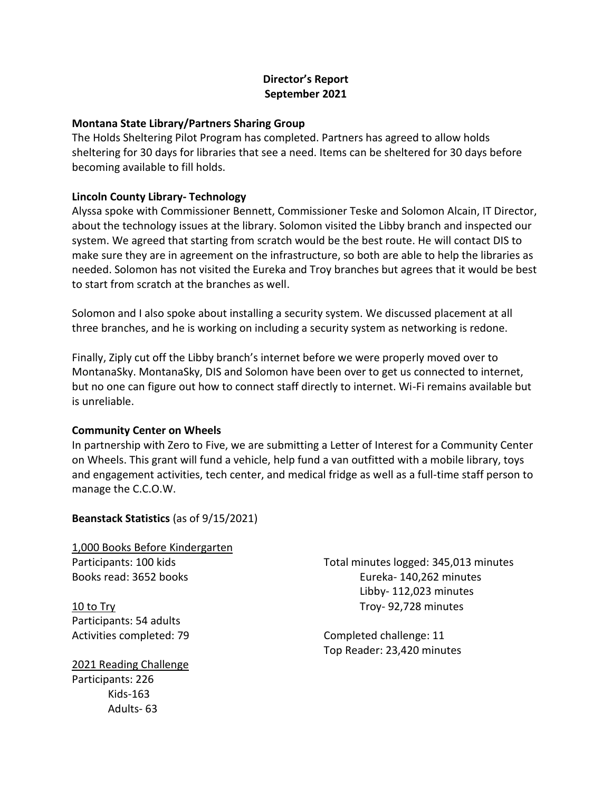## **Director's Report September 2021**

### **Montana State Library/Partners Sharing Group**

The Holds Sheltering Pilot Program has completed. Partners has agreed to allow holds sheltering for 30 days for libraries that see a need. Items can be sheltered for 30 days before becoming available to fill holds.

### **Lincoln County Library- Technology**

Alyssa spoke with Commissioner Bennett, Commissioner Teske and Solomon Alcain, IT Director, about the technology issues at the library. Solomon visited the Libby branch and inspected our system. We agreed that starting from scratch would be the best route. He will contact DIS to make sure they are in agreement on the infrastructure, so both are able to help the libraries as needed. Solomon has not visited the Eureka and Troy branches but agrees that it would be best to start from scratch at the branches as well.

Solomon and I also spoke about installing a security system. We discussed placement at all three branches, and he is working on including a security system as networking is redone.

Finally, Ziply cut off the Libby branch's internet before we were properly moved over to MontanaSky. MontanaSky, DIS and Solomon have been over to get us connected to internet, but no one can figure out how to connect staff directly to internet. Wi-Fi remains available but is unreliable.

### **Community Center on Wheels**

In partnership with Zero to Five, we are submitting a Letter of Interest for a Community Center on Wheels. This grant will fund a vehicle, help fund a van outfitted with a mobile library, toys and engagement activities, tech center, and medical fridge as well as a full-time staff person to manage the C.C.O.W.

# **Beanstack Statistics** (as of 9/15/2021)

1,000 Books Before Kindergarten Participants: 100 kids Books read: 3652 books

10 to Try Participants: 54 adults Activities completed: 79

2021 Reading Challenge Participants: 226 Kids-163 Adults- 63

Total minutes logged: 345,013 minutes Eureka- 140,262 minutes Libby- 112,023 minutes Troy- 92,728 minutes

Completed challenge: 11 Top Reader: 23,420 minutes